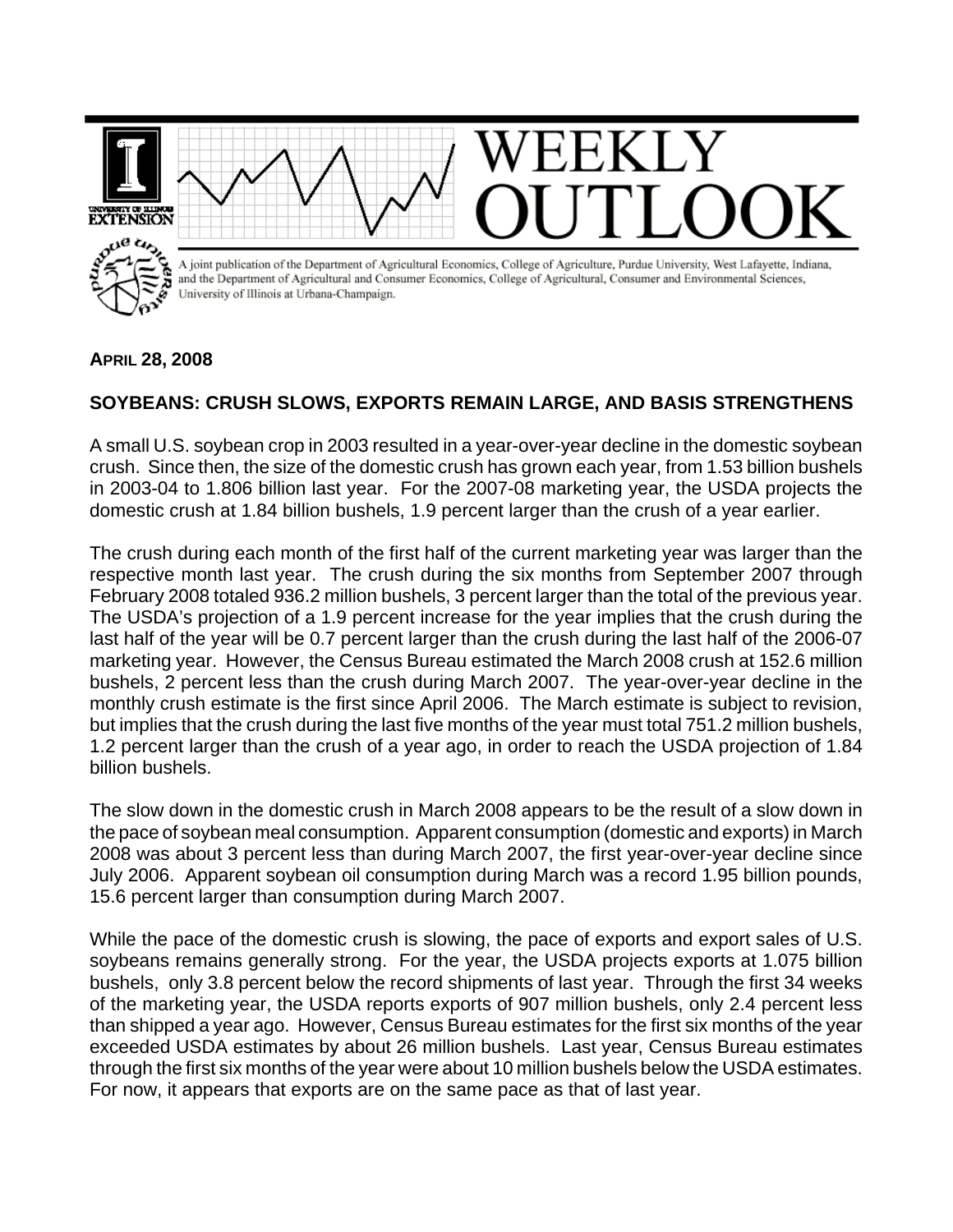

## **APRIL 28, 2008**

## **SOYBEANS: CRUSH SLOWS, EXPORTS REMAIN LARGE, AND BASIS STRENGTHENS**

A small U.S. soybean crop in 2003 resulted in a year-over-year decline in the domestic soybean crush. Since then, the size of the domestic crush has grown each year, from 1.53 billion bushels in 2003-04 to 1.806 billion last year. For the 2007-08 marketing year, the USDA projects the domestic crush at 1.84 billion bushels, 1.9 percent larger than the crush of a year earlier.

The crush during each month of the first half of the current marketing year was larger than the respective month last year. The crush during the six months from September 2007 through February 2008 totaled 936.2 million bushels, 3 percent larger than the total of the previous year. The USDA's projection of a 1.9 percent increase for the year implies that the crush during the last half of the year will be 0.7 percent larger than the crush during the last half of the 2006-07 marketing year. However, the Census Bureau estimated the March 2008 crush at 152.6 million bushels, 2 percent less than the crush during March 2007. The year-over-year decline in the monthly crush estimate is the first since April 2006. The March estimate is subject to revision, but implies that the crush during the last five months of the year must total 751.2 million bushels, 1.2 percent larger than the crush of a year ago, in order to reach the USDA projection of 1.84 billion bushels.

The slow down in the domestic crush in March 2008 appears to be the result of a slow down in the pace of soybean meal consumption. Apparent consumption (domestic and exports) in March 2008 was about 3 percent less than during March 2007, the first year-over-year decline since July 2006. Apparent soybean oil consumption during March was a record 1.95 billion pounds, 15.6 percent larger than consumption during March 2007.

While the pace of the domestic crush is slowing, the pace of exports and export sales of U.S. soybeans remains generally strong. For the year, the USDA projects exports at 1.075 billion bushels, only 3.8 percent below the record shipments of last year. Through the first 34 weeks of the marketing year, the USDA reports exports of 907 million bushels, only 2.4 percent less than shipped a year ago. However, Census Bureau estimates for the first six months of the year exceeded USDA estimates by about 26 million bushels. Last year, Census Bureau estimates through the first six months of the year were about 10 million bushels below the USDA estimates. For now, it appears that exports are on the same pace as that of last year.